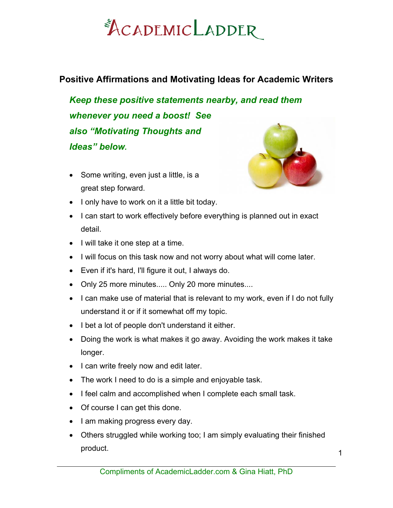#### **Positive Affirmations and Motivating Ideas for Academic Writers**

*Keep these positive statements nearby, and read them whenever you need a boost! See also "Motivating Thoughts and Ideas" below.* 

• Some writing, even just a little, is a great step forward.



- I only have to work on it a little bit today.
- I can start to work effectively before everything is planned out in exact detail.
- I will take it one step at a time.
- I will focus on this task now and not worry about what will come later.
- Even if it's hard, I'll figure it out, I always do.
- Only 25 more minutes..... Only 20 more minutes....
- I can make use of material that is relevant to my work, even if I do not fully understand it or if it somewhat off my topic.
- I bet a lot of people don't understand it either.
- Doing the work is what makes it go away. Avoiding the work makes it take longer.
- I can write freely now and edit later.
- The work I need to do is a simple and enjoyable task.
- I feel calm and accomplished when I complete each small task.
- Of course I can get this done.
- I am making progress every day.
- Others struggled while working too; I am simply evaluating their finished product.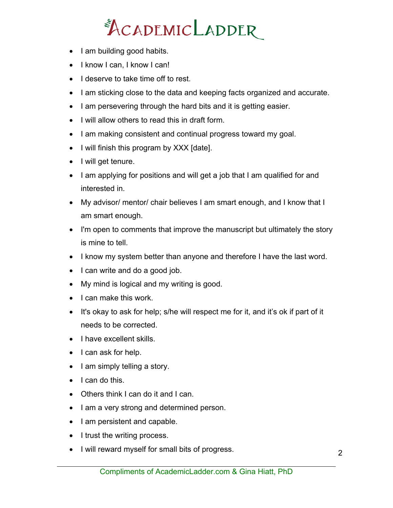- I am building good habits.
- I know I can, I know I can!
- I deserve to take time off to rest.
- I am sticking close to the data and keeping facts organized and accurate.
- I am persevering through the hard bits and it is getting easier.
- I will allow others to read this in draft form.
- I am making consistent and continual progress toward my goal.
- I will finish this program by XXX [date].
- I will get tenure.
- I am applying for positions and will get a job that I am qualified for and interested in.
- My advisor/ mentor/ chair believes I am smart enough, and I know that I am smart enough.
- I'm open to comments that improve the manuscript but ultimately the story is mine to tell.
- I know my system better than anyone and therefore I have the last word.
- I can write and do a good job.
- My mind is logical and my writing is good.
- I can make this work.
- It's okay to ask for help; s/he will respect me for it, and it's ok if part of it needs to be corrected.
- I have excellent skills.
- I can ask for help.
- I am simply telling a story.
- I can do this.
- Others think I can do it and I can.
- I am a very strong and determined person.
- I am persistent and capable.
- I trust the writing process.
- I will reward myself for small bits of progress.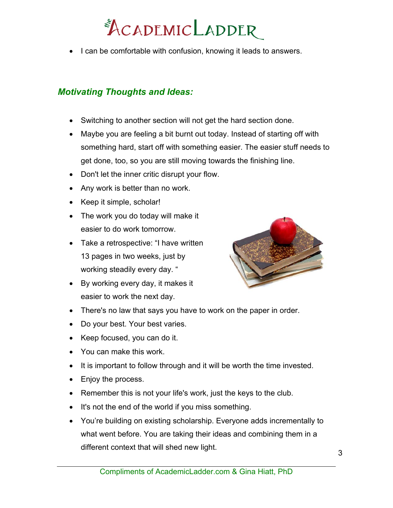• I can be comfortable with confusion, knowing it leads to answers.

#### *Motivating Thoughts and Ideas:*

- Switching to another section will not get the hard section done.
- Maybe you are feeling a bit burnt out today. Instead of starting off with something hard, start off with something easier. The easier stuff needs to get done, too, so you are still moving towards the finishing line.
- Don't let the inner critic disrupt your flow.
- Any work is better than no work.
- Keep it simple, scholar!
- The work you do today will make it easier to do work tomorrow.
- Take a retrospective: "I have written 13 pages in two weeks, just by working steadily every day. "
- By working every day, it makes it easier to work the next day.



- There's no law that says you have to work on the paper in order.
- Do your best. Your best varies.
- Keep focused, you can do it.
- You can make this work.
- It is important to follow through and it will be worth the time invested.
- Enjoy the process.
- Remember this is not your life's work, just the keys to the club.
- It's not the end of the world if you miss something.
- You're building on existing scholarship. Everyone adds incrementally to what went before. You are taking their ideas and combining them in a different context that will shed new light.